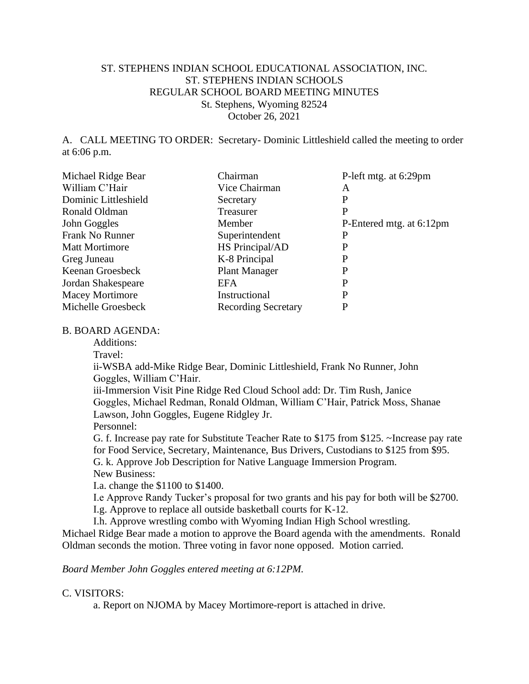## ST. STEPHENS INDIAN SCHOOL EDUCATIONAL ASSOCIATION, INC. ST. STEPHENS INDIAN SCHOOLS REGULAR SCHOOL BOARD MEETING MINUTES St. Stephens, Wyoming 82524 October 26, 2021

A. CALL MEETING TO ORDER: Secretary- Dominic Littleshield called the meeting to order at 6:06 p.m.

| Michael Ridge Bear     | Chairman                   | P-left mtg. at 6:29pm    |
|------------------------|----------------------------|--------------------------|
| William C'Hair         | Vice Chairman              | Α                        |
| Dominic Littleshield   | Secretary                  | P                        |
| Ronald Oldman          | Treasurer                  | P                        |
| John Goggles           | Member                     | P-Entered mtg. at 6:12pm |
| Frank No Runner        | Superintendent             | P                        |
| <b>Matt Mortimore</b>  | HS Principal/AD            | P                        |
| Greg Juneau            | K-8 Principal              | P                        |
| Keenan Groesbeck       | <b>Plant Manager</b>       | P                        |
| Jordan Shakespeare     | EFA                        | P                        |
| <b>Macey Mortimore</b> | Instructional              | P                        |
| Michelle Groesbeck     | <b>Recording Secretary</b> | P                        |

#### B. BOARD AGENDA:

Additions:

Travel:

ii-WSBA add-Mike Ridge Bear, Dominic Littleshield, Frank No Runner, John Goggles, William C'Hair.

iii-Immersion Visit Pine Ridge Red Cloud School add: Dr. Tim Rush, Janice Goggles, Michael Redman, Ronald Oldman, William C'Hair, Patrick Moss, Shanae Lawson, John Goggles, Eugene Ridgley Jr. Personnel:

G. f. Increase pay rate for Substitute Teacher Rate to \$175 from \$125. ~Increase pay rate for Food Service, Secretary, Maintenance, Bus Drivers, Custodians to \$125 from \$95. G. k. Approve Job Description for Native Language Immersion Program.

New Business:

I.a. change the \$1100 to \$1400.

I.e Approve Randy Tucker's proposal for two grants and his pay for both will be \$2700.

I.g. Approve to replace all outside basketball courts for K-12.

I.h. Approve wrestling combo with Wyoming Indian High School wrestling. Michael Ridge Bear made a motion to approve the Board agenda with the amendments. Ronald

Oldman seconds the motion. Three voting in favor none opposed. Motion carried.

*Board Member John Goggles entered meeting at 6:12PM.*

## C. VISITORS:

a. Report on NJOMA by Macey Mortimore-report is attached in drive.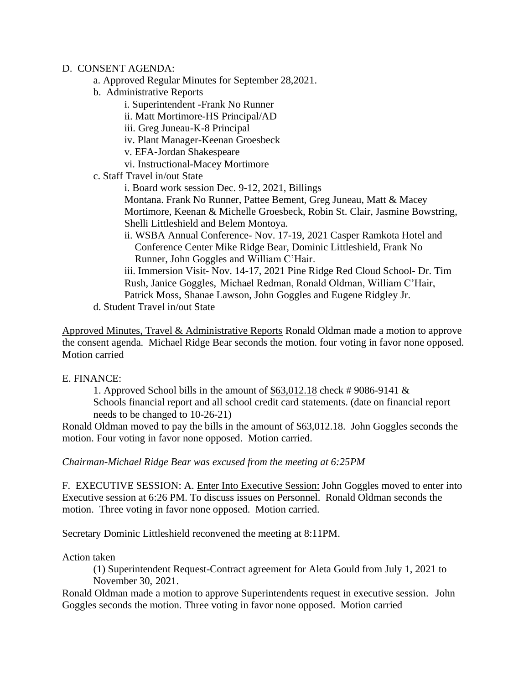#### D. CONSENT AGENDA:

- a. Approved Regular Minutes for September 28,2021.
- b. Administrative Reports
	- i. Superintendent -Frank No Runner
	- ii. Matt Mortimore-HS Principal/AD
	- iii. Greg Juneau-K-8 Principal
	- iv. Plant Manager-Keenan Groesbeck
	- v. EFA-Jordan Shakespeare
	- vi. Instructional-Macey Mortimore
- c. Staff Travel in/out State
	- i. Board work session Dec. 9-12, 2021, Billings

Montana. Frank No Runner, Pattee Bement, Greg Juneau, Matt & Macey Mortimore, Keenan & Michelle Groesbeck, Robin St. Clair, Jasmine Bowstring, Shelli Littleshield and Belem Montoya.

ii. WSBA Annual Conference- Nov. 17-19, 2021 Casper Ramkota Hotel and Conference Center Mike Ridge Bear, Dominic Littleshield, Frank No Runner, John Goggles and William C'Hair.

iii. Immersion Visit- Nov. 14-17, 2021 Pine Ridge Red Cloud School- Dr. Tim Rush, Janice Goggles, Michael Redman, Ronald Oldman, William C'Hair, Patrick Moss, Shanae Lawson, John Goggles and Eugene Ridgley Jr.

d. Student Travel in/out State

Approved Minutes, Travel & Administrative Reports Ronald Oldman made a motion to approve the consent agenda. Michael Ridge Bear seconds the motion. four voting in favor none opposed. Motion carried

## E. FINANCE:

1. Approved School bills in the amount of \$63,012.18 check # 9086-9141 & Schools financial report and all school credit card statements. (date on financial report needs to be changed to 10-26-21)

Ronald Oldman moved to pay the bills in the amount of \$63,012.18. John Goggles seconds the motion. Four voting in favor none opposed. Motion carried.

*Chairman-Michael Ridge Bear was excused from the meeting at 6:25PM*

F. EXECUTIVE SESSION: A. Enter Into Executive Session: John Goggles moved to enter into Executive session at 6:26 PM. To discuss issues on Personnel. Ronald Oldman seconds the motion. Three voting in favor none opposed. Motion carried.

Secretary Dominic Littleshield reconvened the meeting at 8:11PM.

Action taken

(1) Superintendent Request-Contract agreement for Aleta Gould from July 1, 2021 to November 30, 2021.

Ronald Oldman made a motion to approve Superintendents request in executive session. John Goggles seconds the motion. Three voting in favor none opposed. Motion carried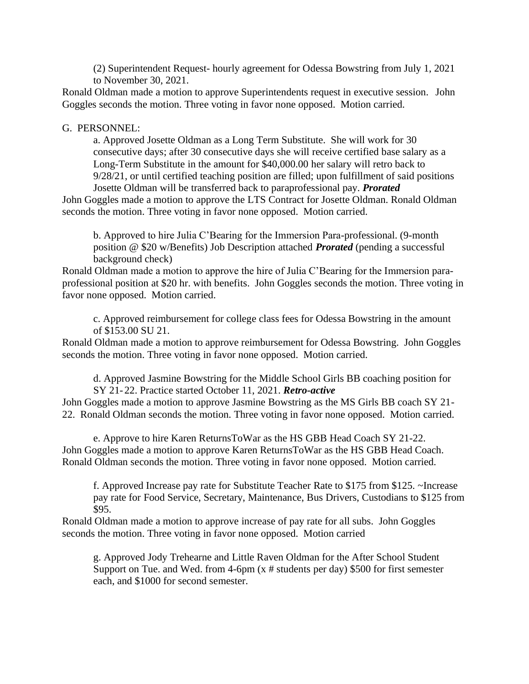(2) Superintendent Request- hourly agreement for Odessa Bowstring from July 1, 2021 to November 30, 2021.

Ronald Oldman made a motion to approve Superintendents request in executive session. John Goggles seconds the motion. Three voting in favor none opposed. Motion carried.

#### G. PERSONNEL:

a. Approved Josette Oldman as a Long Term Substitute. She will work for 30 consecutive days; after 30 consecutive days she will receive certified base salary as a Long-Term Substitute in the amount for \$40,000.00 her salary will retro back to 9/28/21, or until certified teaching position are filled; upon fulfillment of said positions Josette Oldman will be transferred back to paraprofessional pay. *Prorated*

John Goggles made a motion to approve the LTS Contract for Josette Oldman. Ronald Oldman seconds the motion. Three voting in favor none opposed. Motion carried.

b. Approved to hire Julia C'Bearing for the Immersion Para-professional. (9-month position @ \$20 w/Benefits) Job Description attached *Prorated* (pending a successful background check)

Ronald Oldman made a motion to approve the hire of Julia C'Bearing for the Immersion paraprofessional position at \$20 hr. with benefits. John Goggles seconds the motion. Three voting in favor none opposed. Motion carried.

c. Approved reimbursement for college class fees for Odessa Bowstring in the amount of \$153.00 SU 21.

Ronald Oldman made a motion to approve reimbursement for Odessa Bowstring. John Goggles seconds the motion. Three voting in favor none opposed. Motion carried.

d. Approved Jasmine Bowstring for the Middle School Girls BB coaching position for SY 21- 22. Practice started October 11, 2021. *Retro-active*

John Goggles made a motion to approve Jasmine Bowstring as the MS Girls BB coach SY 21- 22. Ronald Oldman seconds the motion. Three voting in favor none opposed. Motion carried.

e. Approve to hire Karen ReturnsToWar as the HS GBB Head Coach SY 21-22. John Goggles made a motion to approve Karen ReturnsToWar as the HS GBB Head Coach. Ronald Oldman seconds the motion. Three voting in favor none opposed. Motion carried.

f. Approved Increase pay rate for Substitute Teacher Rate to \$175 from \$125. ~Increase pay rate for Food Service, Secretary, Maintenance, Bus Drivers, Custodians to \$125 from \$95.

Ronald Oldman made a motion to approve increase of pay rate for all subs. John Goggles seconds the motion. Three voting in favor none opposed. Motion carried

g. Approved Jody Trehearne and Little Raven Oldman for the After School Student Support on Tue. and Wed. from 4-6pm  $(x \# students per day)$  \$500 for first semester each, and \$1000 for second semester.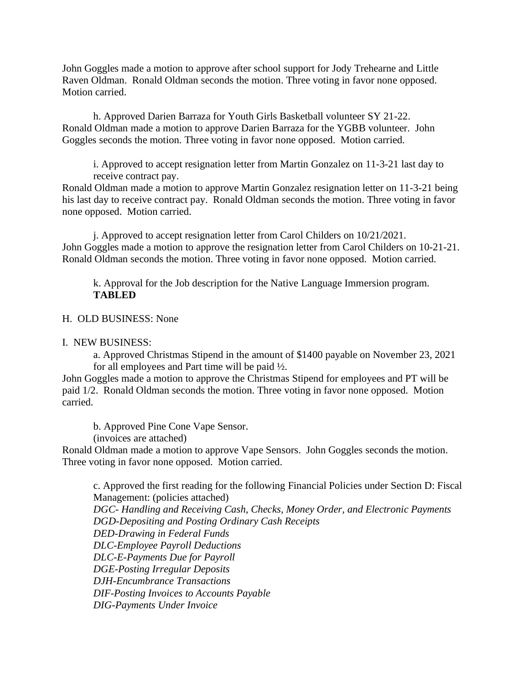John Goggles made a motion to approve after school support for Jody Trehearne and Little Raven Oldman. Ronald Oldman seconds the motion. Three voting in favor none opposed. Motion carried.

h. Approved Darien Barraza for Youth Girls Basketball volunteer SY 21-22. Ronald Oldman made a motion to approve Darien Barraza for the YGBB volunteer. John Goggles seconds the motion. Three voting in favor none opposed. Motion carried.

i. Approved to accept resignation letter from Martin Gonzalez on 11-3-21 last day to receive contract pay.

Ronald Oldman made a motion to approve Martin Gonzalez resignation letter on 11-3-21 being his last day to receive contract pay. Ronald Oldman seconds the motion. Three voting in favor none opposed. Motion carried.

j. Approved to accept resignation letter from Carol Childers on 10/21/2021. John Goggles made a motion to approve the resignation letter from Carol Childers on 10-21-21. Ronald Oldman seconds the motion. Three voting in favor none opposed. Motion carried.

k. Approval for the Job description for the Native Language Immersion program. **TABLED**

H. OLD BUSINESS: None

I. NEW BUSINESS:

a. Approved Christmas Stipend in the amount of \$1400 payable on November 23, 2021 for all employees and Part time will be paid ½.

John Goggles made a motion to approve the Christmas Stipend for employees and PT will be paid 1/2. Ronald Oldman seconds the motion. Three voting in favor none opposed. Motion carried.

b. Approved Pine Cone Vape Sensor.

(invoices are attached)

Ronald Oldman made a motion to approve Vape Sensors. John Goggles seconds the motion. Three voting in favor none opposed. Motion carried.

c. Approved the first reading for the following Financial Policies under Section D: Fiscal Management: (policies attached) *DGC- Handling and Receiving Cash, Checks, Money Order, and Electronic Payments DGD-Depositing and Posting Ordinary Cash Receipts DED-Drawing in Federal Funds DLC-Employee Payroll Deductions DLC-E-Payments Due for Payroll DGE-Posting Irregular Deposits DJH-Encumbrance Transactions DIF-Posting Invoices to Accounts Payable DIG-Payments Under Invoice*